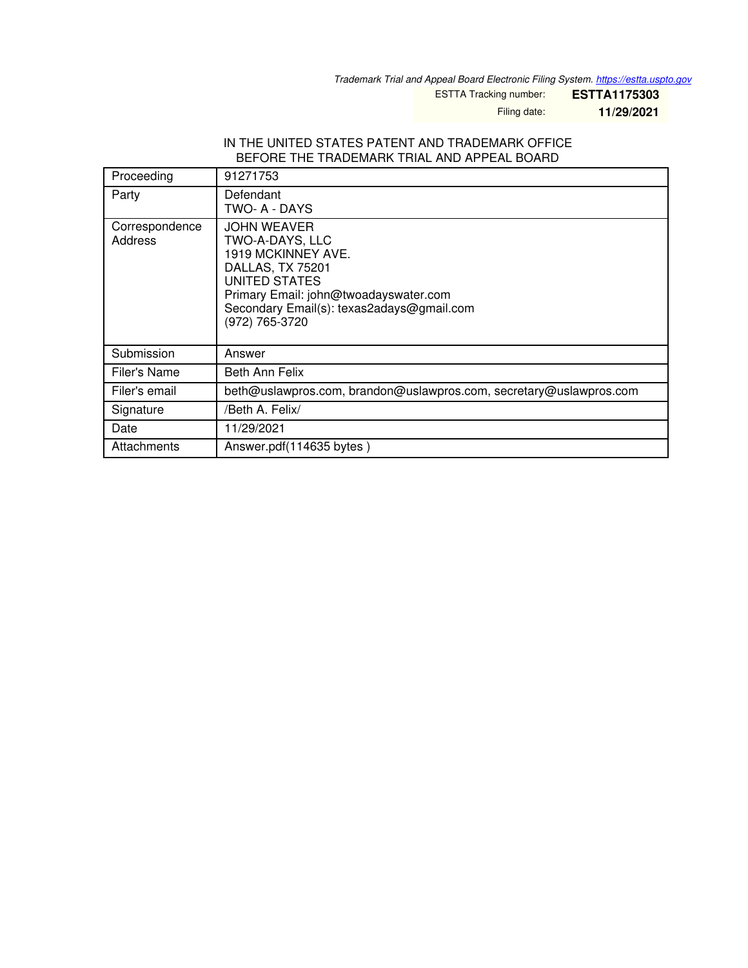*Trademark Trial and Appeal Board Electronic Filing System. <https://estta.uspto.gov>*

ESTTA Tracking number: **ESTTA1175303**

Filing date: **11/29/2021**

#### IN THE UNITED STATES PATENT AND TRADEMARK OFFICE BEFORE THE TRADEMARK TRIAL AND APPEAL BOARD

| Proceeding                | 91271753                                                                                                                                                                                                 |
|---------------------------|----------------------------------------------------------------------------------------------------------------------------------------------------------------------------------------------------------|
| Party                     | Defendant<br>TWO- A - DAYS                                                                                                                                                                               |
| Correspondence<br>Address | <b>JOHN WEAVER</b><br>TWO-A-DAYS, LLC<br>1919 MCKINNEY AVE.<br>DALLAS, TX 75201<br>UNITED STATES<br>Primary Email: john@twoadayswater.com<br>Secondary Email(s): texas2adays@gmail.com<br>(972) 765-3720 |
| Submission                | Answer                                                                                                                                                                                                   |
| Filer's Name              | Beth Ann Felix                                                                                                                                                                                           |
| Filer's email             | beth@uslawpros.com, brandon@uslawpros.com, secretary@uslawpros.com                                                                                                                                       |
| Signature                 | /Beth A. Felix/                                                                                                                                                                                          |
| Date                      | 11/29/2021                                                                                                                                                                                               |
| Attachments               | Answer.pdf(114635 bytes)                                                                                                                                                                                 |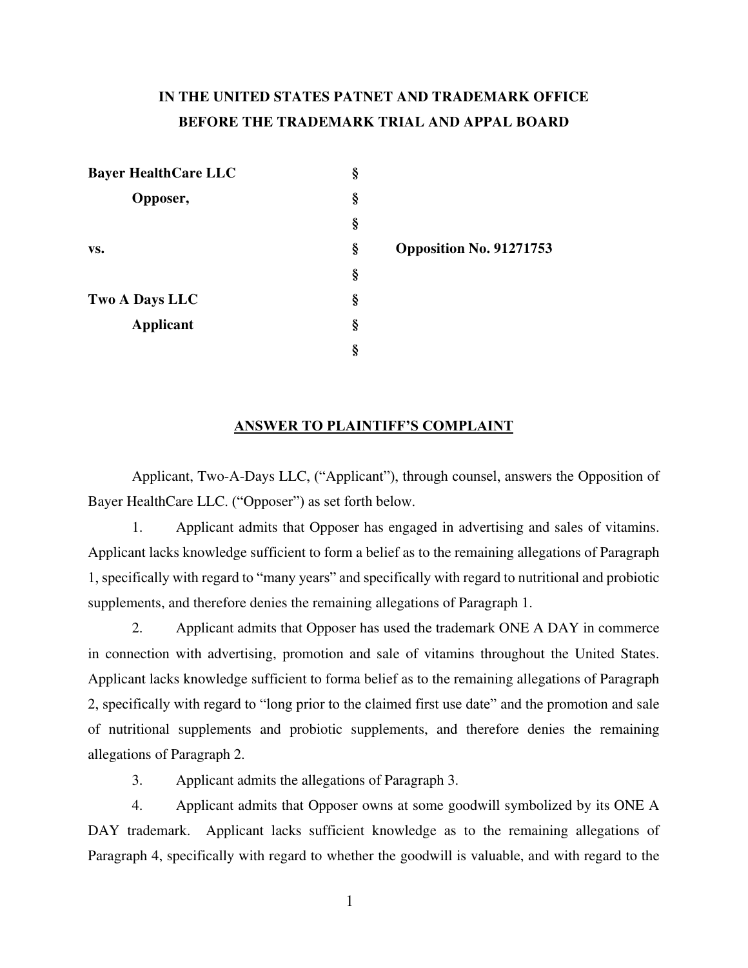## **IN THE UNITED STATES PATNET AND TRADEMARK OFFICE BEFORE THE TRADEMARK TRIAL AND APPAL BOARD**

| <b>Bayer HealthCare LLC</b> | § |                         |
|-----------------------------|---|-------------------------|
| Opposer,                    | § |                         |
|                             | § |                         |
| VS.                         | § | Opposition No. 91271753 |
|                             | § |                         |
| Two A Days LLC              | § |                         |
| Applicant                   | § |                         |
|                             | § |                         |

#### **ANSWER TO PLAINTIFF'S COMPLAINT**

Applicant, Two-A-Days LLC, ("Applicant"), through counsel, answers the Opposition of Bayer HealthCare LLC. ("Opposer") as set forth below.

1. Applicant admits that Opposer has engaged in advertising and sales of vitamins. Applicant lacks knowledge sufficient to form a belief as to the remaining allegations of Paragraph 1, specifically with regard to "many years" and specifically with regard to nutritional and probiotic supplements, and therefore denies the remaining allegations of Paragraph 1.

2. Applicant admits that Opposer has used the trademark ONE A DAY in commerce in connection with advertising, promotion and sale of vitamins throughout the United States. Applicant lacks knowledge sufficient to forma belief as to the remaining allegations of Paragraph 2, specifically with regard to "long prior to the claimed first use date" and the promotion and sale of nutritional supplements and probiotic supplements, and therefore denies the remaining allegations of Paragraph 2.

3. Applicant admits the allegations of Paragraph 3.

4. Applicant admits that Opposer owns at some goodwill symbolized by its ONE A DAY trademark. Applicant lacks sufficient knowledge as to the remaining allegations of Paragraph 4, specifically with regard to whether the goodwill is valuable, and with regard to the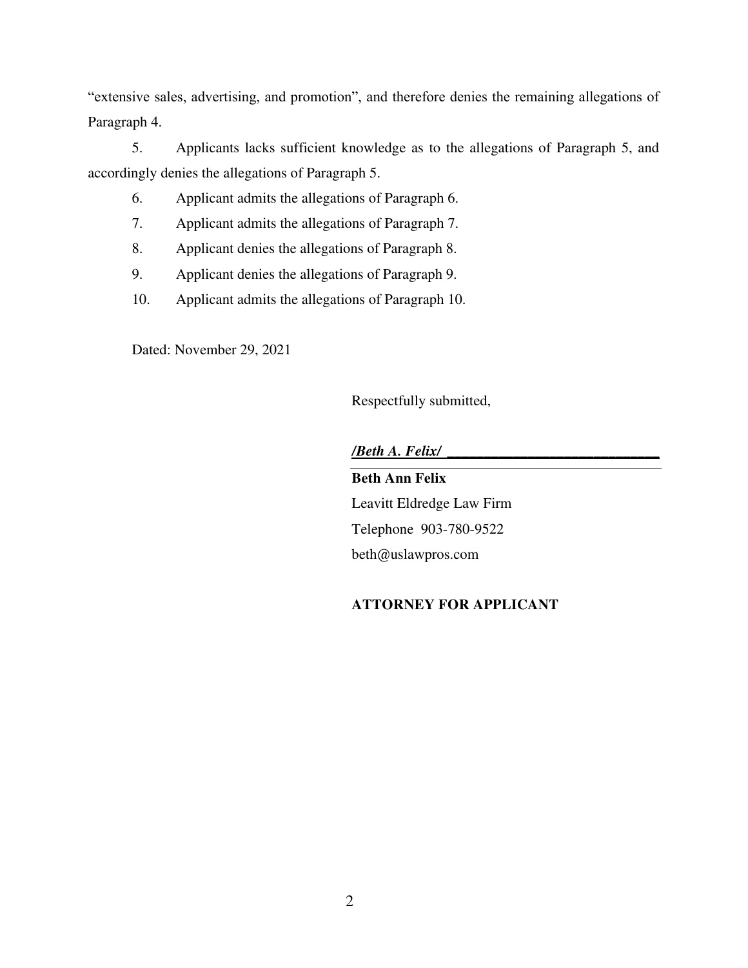"extensive sales, advertising, and promotion", and therefore denies the remaining allegations of Paragraph 4.

5. Applicants lacks sufficient knowledge as to the allegations of Paragraph 5, and accordingly denies the allegations of Paragraph 5.

- 6. Applicant admits the allegations of Paragraph 6.
- 7. Applicant admits the allegations of Paragraph 7.
- 8. Applicant denies the allegations of Paragraph 8.
- 9. Applicant denies the allegations of Paragraph 9.
- 10. Applicant admits the allegations of Paragraph 10.

Dated: November 29, 2021

Respectfully submitted,

*/Beth A. Felix/ \_\_\_\_\_\_\_\_\_\_\_\_\_\_\_\_\_\_\_\_\_\_\_\_\_\_\_\_\_*

**Beth Ann Felix** 

Leavitt Eldredge Law Firm Telephone 903-780-9522 beth@uslawpros.com

### **ATTORNEY FOR APPLICANT**